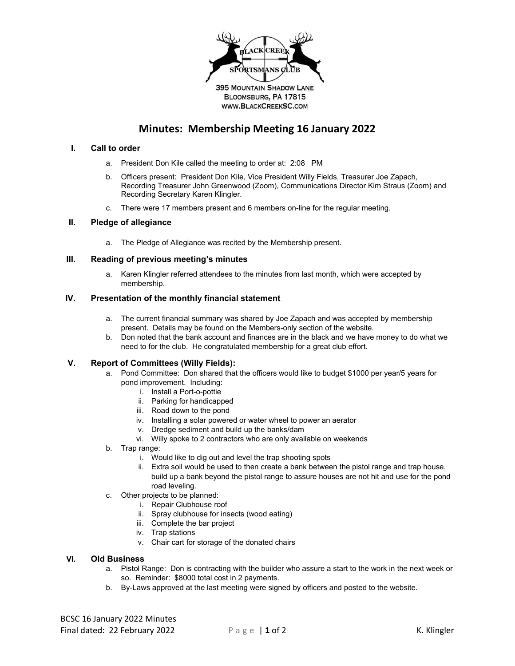

# **Minutes: Membership Meeting 16 January 2022**

#### **I. Call to order**

- a. President Don Kile called the meeting to order at: 2:08 PM
- b. Officers present: President Don Kile, Vice President Willy Fields, Treasurer Joe Zapach, Recording Treasurer John Greenwood (Zoom), Communications Director Kim Straus (Zoom) and Recording Secretary Karen Klingler.
- c. There were 17 members present and 6 members on-line for the regular meeting.

#### **II. Pledge of allegiance**

a. The Pledge of Allegiance was recited by the Membership present.

## **III. Reading of previous meeting's minutes**

a. Karen Klingler referred attendees to the minutes from last month, which were accepted by membership.

#### **IV. Presentation of the monthly financial statement**

- a. The current financial summary was shared by Joe Zapach and was accepted by membership present. Details may be found on the Members-only section of the website.
- b. Don noted that the bank account and finances are in the black and we have money to do what we need to for the club. He congratulated membership for a great club effort.

## **V. Report of Committees (Willy Fields):**

- a. Pond Committee: Don shared that the officers would like to budget \$1000 per year/5 years for pond improvement. Including:
	- i. Install a Port-o-pottie
	- ii. Parking for handicapped
	- iii. Road down to the pond
	- iv. Installing a solar powered or water wheel to power an aerator
	- v. Dredge sediment and build up the banks/dam
	- vi. Willy spoke to 2 contractors who are only available on weekends
- b. Trap range:
	- i. Would like to dig out and level the trap shooting spots
	- ii. Extra soil would be used to then create a bank between the pistol range and trap house, build up a bank beyond the pistol range to assure houses are not hit and use for the pond road leveling.
- c. Other projects to be planned:
	- i. Repair Clubhouse roof
	- ii. Spray clubhouse for insects (wood eating)
	- iii. Complete the bar project
	- iv. Trap stations
	- v. Chair cart for storage of the donated chairs

## **VI. Old Business**

- a. Pistol Range: Don is contracting with the builder who assure a start to the work in the next week or so. Reminder: \$8000 total cost in 2 payments.
- b. By-Laws approved at the last meeting were signed by officers and posted to the website.